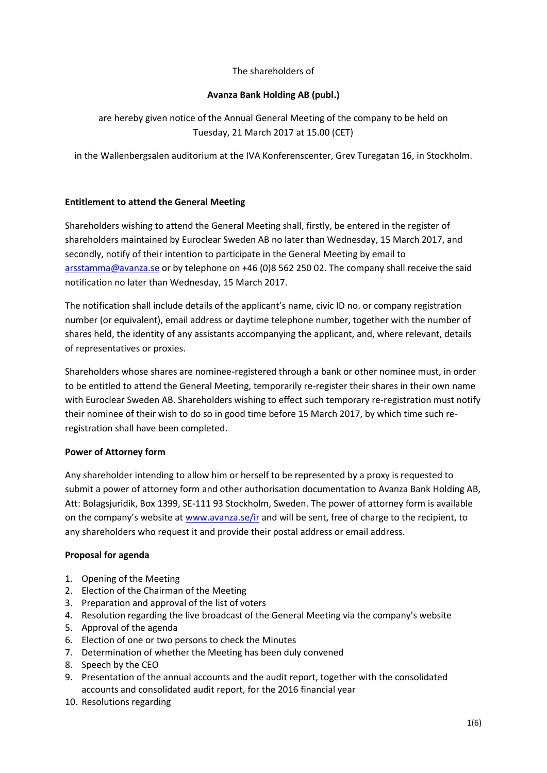# The shareholders of

# **Avanza Bank Holding AB (publ.)**

are hereby given notice of the Annual General Meeting of the company to be held on Tuesday, 21 March 2017 at 15.00 (CET)

in the Wallenbergsalen auditorium at the IVA Konferenscenter, Grev Turegatan 16, in Stockholm.

### **Entitlement to attend the General Meeting**

Shareholders wishing to attend the General Meeting shall, firstly, be entered in the register of shareholders maintained by Euroclear Sweden AB no later than Wednesday, 15 March 2017, and secondly, notify of their intention to participate in the General Meeting by email to [arsstamma@avanza.se](mailto:arsstamma@avanza.se) or by telephone on +46 (0)8 562 250 02. The company shall receive the said notification no later than Wednesday, 15 March 2017.

The notification shall include details of the applicant's name, civic ID no. or company registration number (or equivalent), email address or daytime telephone number, together with the number of shares held, the identity of any assistants accompanying the applicant, and, where relevant, details of representatives or proxies.

Shareholders whose shares are nominee-registered through a bank or other nominee must, in order to be entitled to attend the General Meeting, temporarily re-register their shares in their own name with Euroclear Sweden AB. Shareholders wishing to effect such temporary re-registration must notify their nominee of their wish to do so in good time before 15 March 2017, by which time such reregistration shall have been completed.

### **Power of Attorney form**

Any shareholder intending to allow him or herself to be represented by a proxy is requested to submit a power of attorney form and other authorisation documentation to Avanza Bank Holding AB, Att: Bolagsjuridik, Box 1399, SE-111 93 Stockholm, Sweden. The power of attorney form is available on the company's website at [www.avanza.se/ir](http://www.avanza.se/ir) and will be sent, free of charge to the recipient, to any shareholders who request it and provide their postal address or email address.

### **Proposal for agenda**

- 1. Opening of the Meeting
- 2. Election of the Chairman of the Meeting
- 3. Preparation and approval of the list of voters
- 4. Resolution regarding the live broadcast of the General Meeting via the company's website
- 5. Approval of the agenda
- 6. Election of one or two persons to check the Minutes
- 7. Determination of whether the Meeting has been duly convened
- 8. Speech by the CEO
- 9. Presentation of the annual accounts and the audit report, together with the consolidated accounts and consolidated audit report, for the 2016 financial year
- 10. Resolutions regarding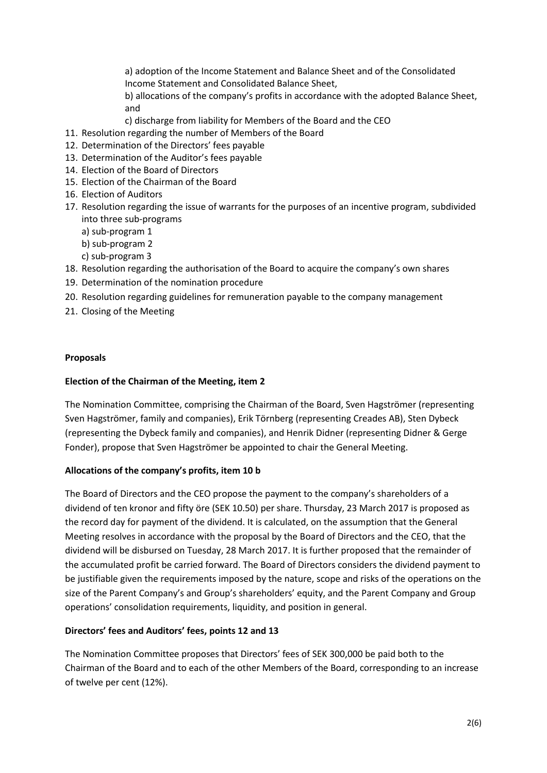a) adoption of the Income Statement and Balance Sheet and of the Consolidated Income Statement and Consolidated Balance Sheet,

b) allocations of the company's profits in accordance with the adopted Balance Sheet, and

- c) discharge from liability for Members of the Board and the CEO
- 11. Resolution regarding the number of Members of the Board
- 12. Determination of the Directors' fees payable
- 13. Determination of the Auditor's fees payable
- 14. Election of the Board of Directors
- 15. Election of the Chairman of the Board
- 16. Election of Auditors
- 17. Resolution regarding the issue of warrants for the purposes of an incentive program, subdivided into three sub-programs
	- a) sub-program 1
	- b) sub-program 2
	- c) sub-program 3
- 18. Resolution regarding the authorisation of the Board to acquire the company's own shares
- 19. Determination of the nomination procedure
- 20. Resolution regarding guidelines for remuneration payable to the company management
- 21. Closing of the Meeting

### **Proposals**

#### **Election of the Chairman of the Meeting, item 2**

The Nomination Committee, comprising the Chairman of the Board, Sven Hagströmer (representing Sven Hagströmer, family and companies), Erik Törnberg (representing Creades AB), Sten Dybeck (representing the Dybeck family and companies), and Henrik Didner (representing Didner & Gerge Fonder), propose that Sven Hagströmer be appointed to chair the General Meeting.

### **Allocations of the company's profits, item 10 b**

The Board of Directors and the CEO propose the payment to the company's shareholders of a dividend of ten kronor and fifty öre (SEK 10.50) per share. Thursday, 23 March 2017 is proposed as the record day for payment of the dividend. It is calculated, on the assumption that the General Meeting resolves in accordance with the proposal by the Board of Directors and the CEO, that the dividend will be disbursed on Tuesday, 28 March 2017. It is further proposed that the remainder of the accumulated profit be carried forward. The Board of Directors considers the dividend payment to be justifiable given the requirements imposed by the nature, scope and risks of the operations on the size of the Parent Company's and Group's shareholders' equity, and the Parent Company and Group operations' consolidation requirements, liquidity, and position in general.

### **Directors' fees and Auditors' fees, points 12 and 13**

The Nomination Committee proposes that Directors' fees of SEK 300,000 be paid both to the Chairman of the Board and to each of the other Members of the Board, corresponding to an increase of twelve per cent (12%).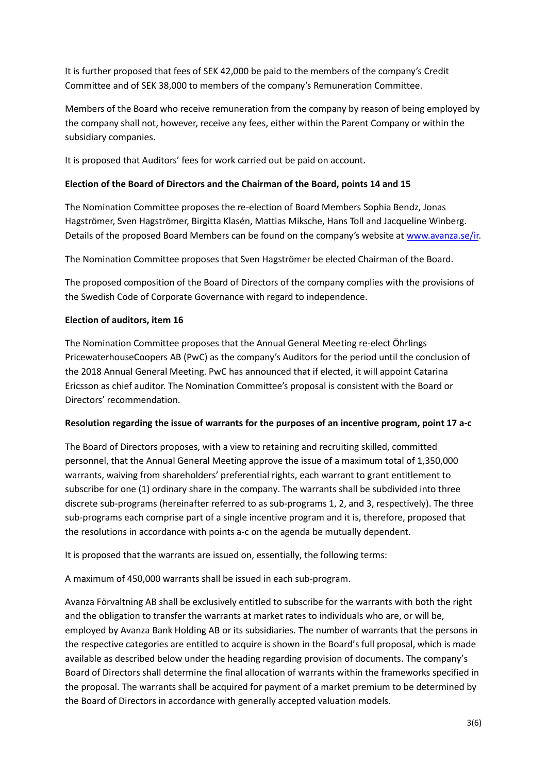It is further proposed that fees of SEK 42,000 be paid to the members of the company's Credit Committee and of SEK 38,000 to members of the company's Remuneration Committee.

Members of the Board who receive remuneration from the company by reason of being employed by the company shall not, however, receive any fees, either within the Parent Company or within the subsidiary companies.

It is proposed that Auditors' fees for work carried out be paid on account.

## **Election of the Board of Directors and the Chairman of the Board, points 14 and 15**

The Nomination Committee proposes the re-election of Board Members Sophia Bendz, Jonas Hagströmer, Sven Hagströmer, Birgitta Klasén, Mattias Miksche, Hans Toll and Jacqueline Winberg. Details of the proposed Board Members can be found on the company's website a[t www.avanza.se/ir.](http://www.avanza.se/ir)

The Nomination Committee proposes that Sven Hagströmer be elected Chairman of the Board.

The proposed composition of the Board of Directors of the company complies with the provisions of the Swedish Code of Corporate Governance with regard to independence.

### **Election of auditors, item 16**

The Nomination Committee proposes that the Annual General Meeting re-elect Öhrlings PricewaterhouseCoopers AB (PwC) as the company's Auditors for the period until the conclusion of the 2018 Annual General Meeting. PwC has announced that if elected, it will appoint Catarina Ericsson as chief auditor. The Nomination Committee's proposal is consistent with the Board or Directors' recommendation.

### **Resolution regarding the issue of warrants for the purposes of an incentive program, point 17 a-c**

The Board of Directors proposes, with a view to retaining and recruiting skilled, committed personnel, that the Annual General Meeting approve the issue of a maximum total of 1,350,000 warrants, waiving from shareholders' preferential rights, each warrant to grant entitlement to subscribe for one (1) ordinary share in the company. The warrants shall be subdivided into three discrete sub-programs (hereinafter referred to as sub-programs 1, 2, and 3, respectively). The three sub-programs each comprise part of a single incentive program and it is, therefore, proposed that the resolutions in accordance with points a-c on the agenda be mutually dependent.

It is proposed that the warrants are issued on, essentially, the following terms:

A maximum of 450,000 warrants shall be issued in each sub-program.

Avanza Förvaltning AB shall be exclusively entitled to subscribe for the warrants with both the right and the obligation to transfer the warrants at market rates to individuals who are, or will be, employed by Avanza Bank Holding AB or its subsidiaries. The number of warrants that the persons in the respective categories are entitled to acquire is shown in the Board's full proposal, which is made available as described below under the heading regarding provision of documents. The company's Board of Directors shall determine the final allocation of warrants within the frameworks specified in the proposal. The warrants shall be acquired for payment of a market premium to be determined by the Board of Directors in accordance with generally accepted valuation models.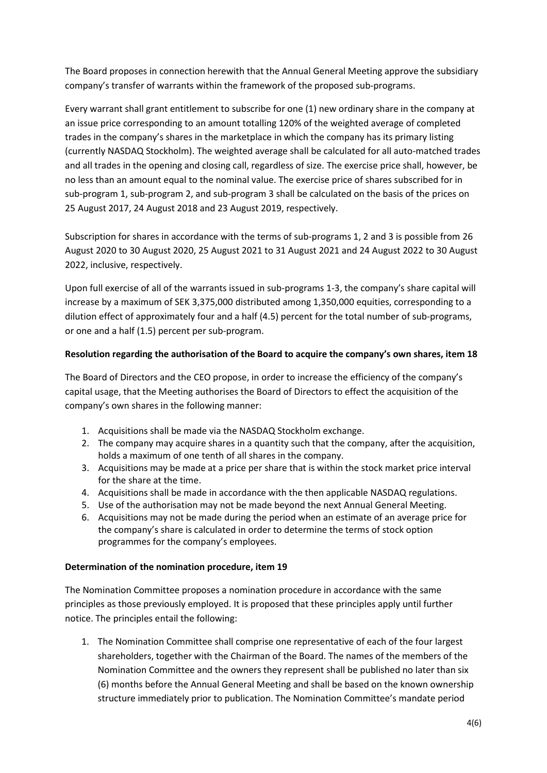The Board proposes in connection herewith that the Annual General Meeting approve the subsidiary company's transfer of warrants within the framework of the proposed sub-programs.

Every warrant shall grant entitlement to subscribe for one (1) new ordinary share in the company at an issue price corresponding to an amount totalling 120% of the weighted average of completed trades in the company's shares in the marketplace in which the company has its primary listing (currently NASDAQ Stockholm). The weighted average shall be calculated for all auto-matched trades and all trades in the opening and closing call, regardless of size. The exercise price shall, however, be no less than an amount equal to the nominal value. The exercise price of shares subscribed for in sub-program 1, sub-program 2, and sub-program 3 shall be calculated on the basis of the prices on 25 August 2017, 24 August 2018 and 23 August 2019, respectively.

Subscription for shares in accordance with the terms of sub-programs 1, 2 and 3 is possible from 26 August 2020 to 30 August 2020, 25 August 2021 to 31 August 2021 and 24 August 2022 to 30 August 2022, inclusive, respectively.

Upon full exercise of all of the warrants issued in sub-programs 1-3, the company's share capital will increase by a maximum of SEK 3,375,000 distributed among 1,350,000 equities, corresponding to a dilution effect of approximately four and a half (4.5) percent for the total number of sub-programs, or one and a half (1.5) percent per sub-program.

# **Resolution regarding the authorisation of the Board to acquire the company's own shares, item 18**

The Board of Directors and the CEO propose, in order to increase the efficiency of the company's capital usage, that the Meeting authorises the Board of Directors to effect the acquisition of the company's own shares in the following manner:

- 1. Acquisitions shall be made via the NASDAQ Stockholm exchange.
- 2. The company may acquire shares in a quantity such that the company, after the acquisition, holds a maximum of one tenth of all shares in the company.
- 3. Acquisitions may be made at a price per share that is within the stock market price interval for the share at the time.
- 4. Acquisitions shall be made in accordance with the then applicable NASDAQ regulations.
- 5. Use of the authorisation may not be made beyond the next Annual General Meeting.
- 6. Acquisitions may not be made during the period when an estimate of an average price for the company's share is calculated in order to determine the terms of stock option programmes for the company's employees.

# **Determination of the nomination procedure, item 19**

The Nomination Committee proposes a nomination procedure in accordance with the same principles as those previously employed. It is proposed that these principles apply until further notice. The principles entail the following:

1. The Nomination Committee shall comprise one representative of each of the four largest shareholders, together with the Chairman of the Board. The names of the members of the Nomination Committee and the owners they represent shall be published no later than six (6) months before the Annual General Meeting and shall be based on the known ownership structure immediately prior to publication. The Nomination Committee's mandate period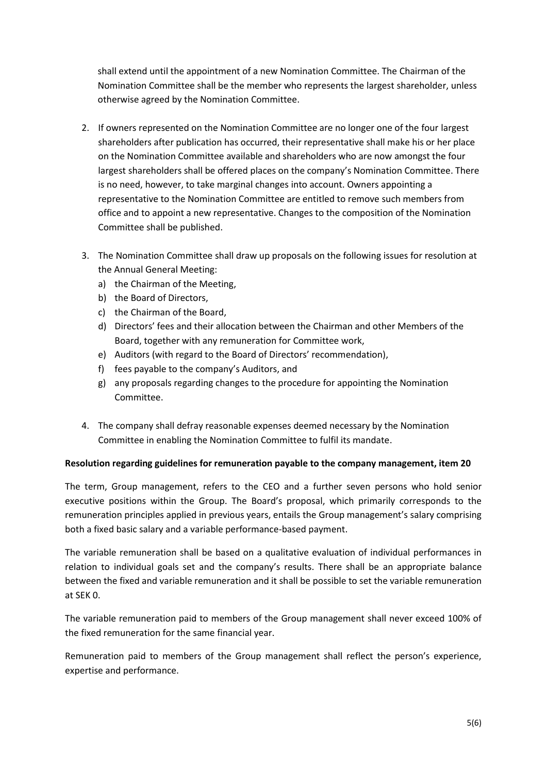shall extend until the appointment of a new Nomination Committee. The Chairman of the Nomination Committee shall be the member who represents the largest shareholder, unless otherwise agreed by the Nomination Committee.

- 2. If owners represented on the Nomination Committee are no longer one of the four largest shareholders after publication has occurred, their representative shall make his or her place on the Nomination Committee available and shareholders who are now amongst the four largest shareholders shall be offered places on the company's Nomination Committee. There is no need, however, to take marginal changes into account. Owners appointing a representative to the Nomination Committee are entitled to remove such members from office and to appoint a new representative. Changes to the composition of the Nomination Committee shall be published.
- 3. The Nomination Committee shall draw up proposals on the following issues for resolution at the Annual General Meeting:
	- a) the Chairman of the Meeting,
	- b) the Board of Directors,
	- c) the Chairman of the Board,
	- d) Directors' fees and their allocation between the Chairman and other Members of the Board, together with any remuneration for Committee work,
	- e) Auditors (with regard to the Board of Directors' recommendation),
	- f) fees payable to the company's Auditors, and
	- g) any proposals regarding changes to the procedure for appointing the Nomination Committee.
- 4. The company shall defray reasonable expenses deemed necessary by the Nomination Committee in enabling the Nomination Committee to fulfil its mandate.

# **Resolution regarding guidelines for remuneration payable to the company management, item 20**

The term, Group management, refers to the CEO and a further seven persons who hold senior executive positions within the Group. The Board's proposal, which primarily corresponds to the remuneration principles applied in previous years, entails the Group management's salary comprising both a fixed basic salary and a variable performance-based payment.

The variable remuneration shall be based on a qualitative evaluation of individual performances in relation to individual goals set and the company's results. There shall be an appropriate balance between the fixed and variable remuneration and it shall be possible to set the variable remuneration at SEK 0.

The variable remuneration paid to members of the Group management shall never exceed 100% of the fixed remuneration for the same financial year.

Remuneration paid to members of the Group management shall reflect the person's experience, expertise and performance.